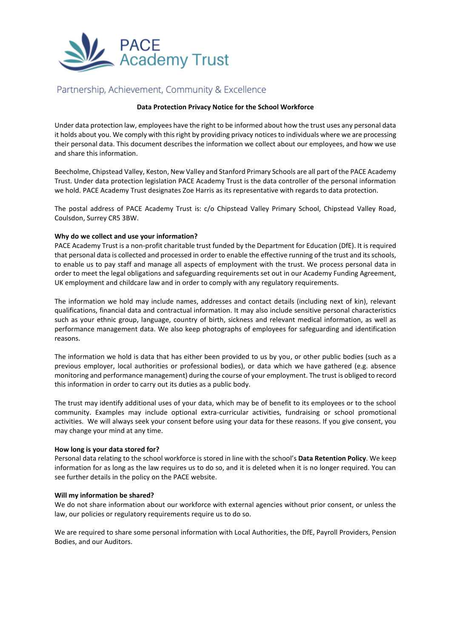

# Partnership, Achievement, Community & Excellence

## **Data Protection Privacy Notice for the School Workforce**

Under data protection law, employees have the right to be informed about how the trust uses any personal data it holds about you. We comply with this right by providing privacy notices to individuals where we are processing their personal data. This document describes the information we collect about our employees, and how we use and share this information.

Beecholme, Chipstead Valley, Keston, New Valley and Stanford Primary Schools are all part of the PACE Academy Trust. Under data protection legislation PACE Academy Trust is the data controller of the personal information we hold. PACE Academy Trust designates Zoe Harris as its representative with regards to data protection.

The postal address of PACE Academy Trust is: c/o Chipstead Valley Primary School, Chipstead Valley Road, Coulsdon, Surrey CR5 3BW.

### **Why do we collect and use your information?**

PACE Academy Trust is a non-profit charitable trust funded by the Department for Education (DfE). It is required that personal data is collected and processed in order to enable the effective running of the trust and its schools, to enable us to pay staff and manage all aspects of employment with the trust. We process personal data in order to meet the legal obligations and safeguarding requirements set out in our Academy Funding Agreement, UK employment and childcare law and in order to comply with any regulatory requirements.

The information we hold may include names, addresses and contact details (including next of kin), relevant qualifications, financial data and contractual information. It may also include sensitive personal characteristics such as your ethnic group, language, country of birth, sickness and relevant medical information, as well as performance management data. We also keep photographs of employees for safeguarding and identification reasons.

The information we hold is data that has either been provided to us by you, or other public bodies (such as a previous employer, local authorities or professional bodies), or data which we have gathered (e.g. absence monitoring and performance management) during the course of your employment. The trust is obliged to record this information in order to carry out its duties as a public body.

The trust may identify additional uses of your data, which may be of benefit to its employees or to the school community. Examples may include optional extra-curricular activities, fundraising or school promotional activities. We will always seek your consent before using your data for these reasons. If you give consent, you may change your mind at any time.

# **How long is your data stored for?**

Personal data relating to the school workforce is stored in line with the school's **Data Retention Policy**. We keep information for as long as the law requires us to do so, and it is deleted when it is no longer required. You can see further details in the policy on the PACE website.

#### **Will my information be shared?**

We do not share information about our workforce with external agencies without prior consent, or unless the law, our policies or regulatory requirements require us to do so.

We are required to share some personal information with Local Authorities, the DfE, Payroll Providers, Pension Bodies, and our Auditors.